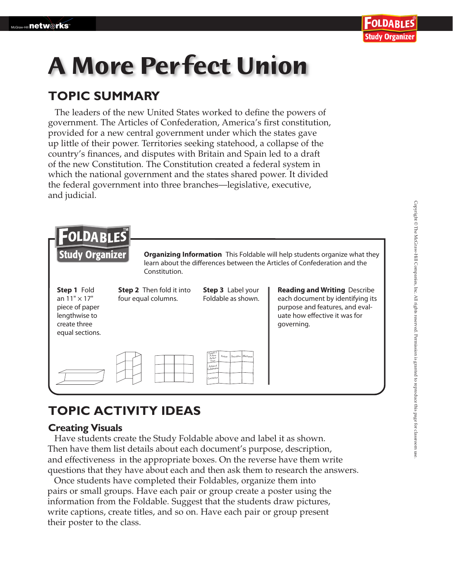# **A More Per fect Union**

### **TOPIC SUMMARY**

The leaders of the new United States worked to define the powers of government. The Articles of Confederation, America's first constitution, provided for a new central government under which the states gave up little of their power. Territories seeking statehood, a collapse of the country's finances, and disputes with Britain and Spain led to a draft of the new Constitution. The Constitution created a federal system in which the national government and the states shared power. It divided the federal government into three branches—legislative, executive, and judicial.



## **TOPIC ACTIVITY IDEAS**

#### **Creating Visuals**

 Have students create the Study Foldable above and label it as shown. Then have them list details about each document's purpose, description, and effectiveness in the appropriate boxes. On the reverse have them write questions that they have about each and then ask them to research the answers.

Once students have completed their Foldables, organize them into pairs or small groups. Have each pair or group create a poster using the information from the Foldable. Suggest that the students draw pictures, write captions, create titles, and so on. Have each pair or group present their poster to the class.